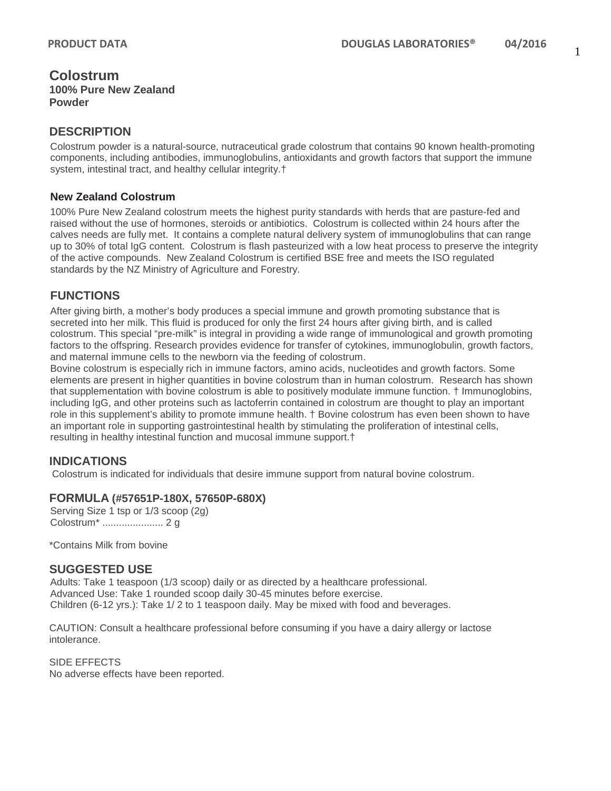### **Colostrum 100% Pure New Zealand Powder**

# **DESCRIPTION**

Colostrum powder is a natural-source, nutraceutical grade colostrum that contains 90 known health-promoting components, including antibodies, immunoglobulins, antioxidants and growth factors that support the immune system, intestinal tract, and healthy cellular integrity.†

#### **New Zealand Colostrum**

100% Pure New Zealand colostrum meets the highest purity standards with herds that are pasture-fed and raised without the use of hormones, steroids or antibiotics. Colostrum is collected within 24 hours after the calves needs are fully met. It contains a complete natural delivery system of immunoglobulins that can range up to 30% of total IgG content. Colostrum is flash pasteurized with a low heat process to preserve the integrity of the active compounds. New Zealand Colostrum is certified BSE free and meets the ISO regulated standards by the NZ Ministry of Agriculture and Forestry.

## **FUNCTIONS**

After giving birth, a mother's body produces a special immune and growth promoting substance that is secreted into her milk. This fluid is produced for only the first 24 hours after giving birth, and is called colostrum. This special "pre-milk" is integral in providing a wide range of immunological and growth promoting factors to the offspring. Research provides evidence for transfer of cytokines, immunoglobulin, growth factors, and maternal immune cells to the newborn via the feeding of colostrum.

Bovine colostrum is especially rich in immune factors, amino acids, nucleotides and growth factors. Some elements are present in higher quantities in bovine colostrum than in human colostrum. Research has shown that supplementation with bovine colostrum is able to positively modulate immune function. † Immunoglobins, including IgG, and other proteins such as lactoferrin contained in colostrum are thought to play an important role in this supplement's ability to promote immune health. † Bovine colostrum has even been shown to have an important role in supporting gastrointestinal health by stimulating the proliferation of intestinal cells, resulting in healthy intestinal function and mucosal immune support.†

## **INDICATIONS**

Colostrum is indicated for individuals that desire immune support from natural bovine colostrum.

### **FORMULA (#57651P-180X, 57650P-680X)**

Serving Size 1 tsp or 1/3 scoop (2g) Colostrum\* ...................... 2 g

\*Contains Milk from bovine

### **SUGGESTED USE**

Adults: Take 1 teaspoon (1/3 scoop) daily or as directed by a healthcare professional. Advanced Use: Take 1 rounded scoop daily 30-45 minutes before exercise. Children (6-12 yrs.): Take 1/ 2 to 1 teaspoon daily. May be mixed with food and beverages.

CAUTION: Consult a healthcare professional before consuming if you have a dairy allergy or lactose intolerance.

SIDE EFFECTS No adverse effects have been reported.